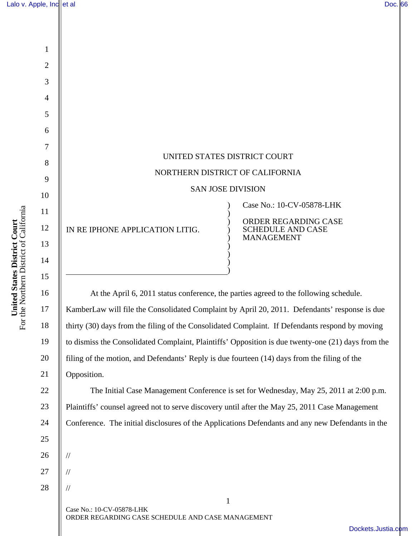1

2

3

4

5

6

7

8

9

10

11

12

13

14

**United States District Court**  For the Northern District of California

United States District Court<br>For the Northern District of California

15

16

17

18

19

20

21

| UNITED STATES DISTRICT COURT    |                                                                                                    |
|---------------------------------|----------------------------------------------------------------------------------------------------|
| NORTHERN DISTRICT OF CALIFORNIA |                                                                                                    |
| <b>SAN JOSE DIVISION</b>        |                                                                                                    |
| IN RE IPHONE APPLICATION LITIG. | Case No.: 10-CV-05878-LHK<br>ORDER REGARDING CASE<br><b>SCHEDULE AND CASE</b><br><b>MANAGEMENT</b> |
|                                 |                                                                                                    |

At the April 6, 2011 status conference, the parties agreed to the following schedule. KamberLaw will file the Consolidated Complaint by April 20, 2011. Defendants' response is due thirty (30) days from the filing of the Consolidated Complaint. If Defendants respond by moving to dismiss the Consolidated Complaint, Plaintiffs' Opposition is due twenty-one (21) days from the filing of the motion, and Defendants' Reply is due fourteen (14) days from the filing of the Opposition.

 The Initial Case Management Conference is set for Wednesday, May 25, 2011 at 2:00 p.m. Plaintiffs' counsel agreed not to serve discovery until after the May 25, 2011 Case Management Conference. The initial disclosures of the Applications Defendants and any new Defendants in the

25 26 27

//

//

//

28

1 Case No.: 10-CV-05878-LHK ORDER REGARDING CASE SCHEDULE AND CASE MANAGEMENT